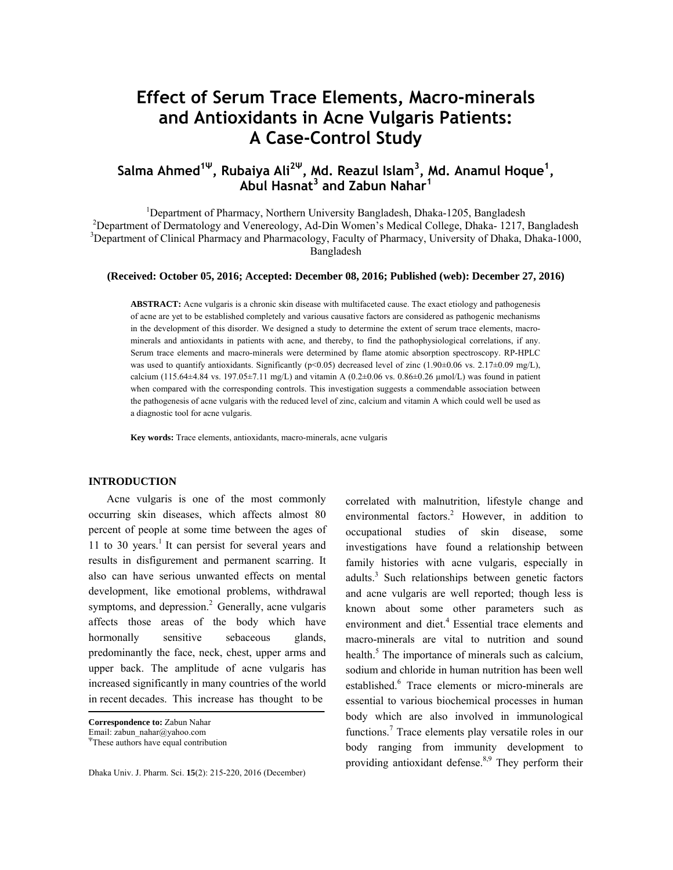# **Effect of Serum Trace Elements, Macro-minerals and Antioxidants in Acne Vulgaris Patients: A Case-Control Study**

# **Salma Ahmed1<sup>Ψ</sup>, Rubaiya Ali<sup>2</sup><sup>Ψ</sup>, Md. Reazul Islam<sup>3</sup> , Md. Anamul Hoque<sup>1</sup> , Abul Hasnat3 and Zabun Nahar<sup>1</sup>**

<sup>1</sup> Department of Pharmacy, Northern University Bangladesh, Dhaka-1205, Bangladesh <sup>2</sup>Department of Dermatology and Venereology, Ad-Din Women's Medical College, Dhaka- 1217, Bangladesh <sup>3</sup>Department of Clinical Pharmacy and Pharmacology, Faculty of Pharmacy, University of Dhaka, Dhaka-1000, Bangladesh

#### **(Received: October 05, 2016; Accepted: December 08, 2016; Published (web): December 27, 2016)**

**ABSTRACT:** Acne vulgaris is a chronic skin disease with multifaceted cause. The exact etiology and pathogenesis of acne are yet to be established completely and various causative factors are considered as pathogenic mechanisms in the development of this disorder. We designed a study to determine the extent of serum trace elements, macrominerals and antioxidants in patients with acne, and thereby, to find the pathophysiological correlations, if any. Serum trace elements and macro-minerals were determined by flame atomic absorption spectroscopy. RP-HPLC was used to quantify antioxidants. Significantly (p<0.05) decreased level of zinc (1.90±0.06 vs. 2.17±0.09 mg/L), calcium (115.64±4.84 vs. 197.05±7.11 mg/L) and vitamin A (0.2±0.06 vs. 0.86±0.26  $\mu$ mol/L) was found in patient when compared with the corresponding controls. This investigation suggests a commendable association between the pathogenesis of acne vulgaris with the reduced level of zinc, calcium and vitamin A which could well be used as a diagnostic tool for acne vulgaris.

**Key words:** Trace elements, antioxidants, macro-minerals, acne vulgaris

#### **INTRODUCTION**

 Acne vulgaris is one of the most commonly occurring skin diseases, which affects almost 80 percent of people at some time between the ages of 11 to 30 years.<sup>1</sup> It can persist for several years and results in disfigurement and permanent scarring. It also can have serious unwanted effects on mental development, like emotional problems, withdrawal symptoms, and depression.<sup>2</sup> Generally, acne vulgaris affects those areas of the body which have hormonally sensitive sebaceous glands, predominantly the face, neck, chest, upper arms and upper back. The amplitude of acne vulgaris has increased significantly in many countries of the world in recent decades. This increase has thought to be

Dhaka Univ. J. Pharm. Sci. **15**(2): 215-220, 2016 (December)

correlated with malnutrition, lifestyle change and environmental factors.<sup>2</sup> However, in addition to occupational studies of skin disease, some investigations have found a relationship between family histories with acne vulgaris, especially in adults.<sup>3</sup> Such relationships between genetic factors and acne vulgaris are well reported; though less is known about some other parameters such as environment and diet.<sup>4</sup> Essential trace elements and macro-minerals are vital to nutrition and sound health.<sup>5</sup> The importance of minerals such as calcium, sodium and chloride in human nutrition has been well established.<sup>6</sup> Trace elements or micro-minerals are essential to various biochemical processes in human body which are also involved in immunological functions.<sup>7</sup> Trace elements play versatile roles in our body ranging from immunity development to providing antioxidant defense. $8,9$  They perform their

**Correspondence to:** Zabun Nahar

Email: zabun\_nahar@yahoo.com

<sup>Ψ</sup>These authors have equal contribution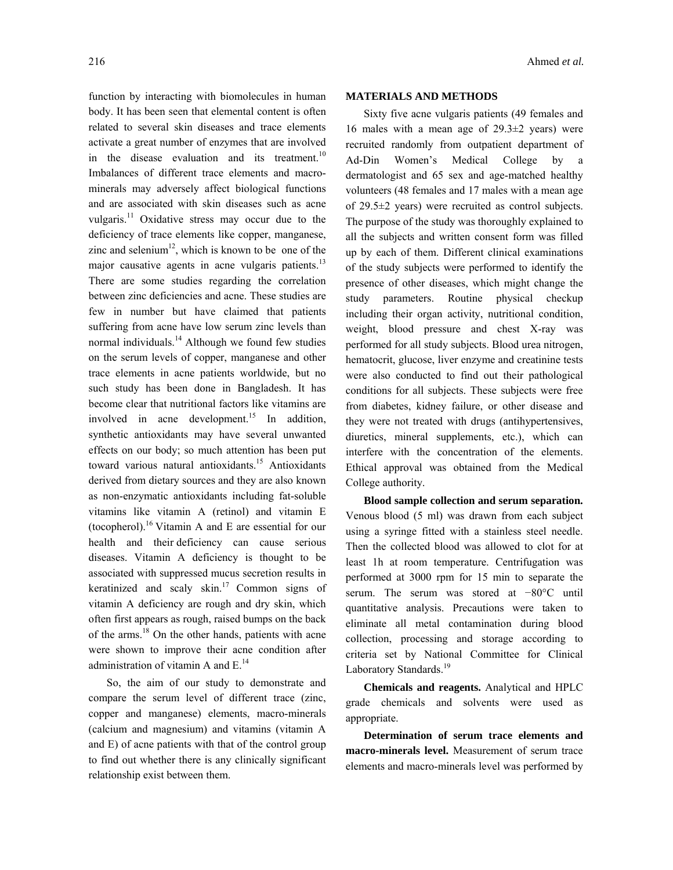function by interacting with biomolecules in human body. It has been seen that elemental content is often related to several skin diseases and trace elements activate a great number of enzymes that are involved in the disease evaluation and its treatment.<sup>10</sup> Imbalances of different trace elements and macrominerals may adversely affect biological functions and are associated with skin diseases such as acne vulgaris.<sup>11</sup> Oxidative stress may occur due to the deficiency of trace elements like copper, manganese, zinc and selenium $12$ , which is known to be one of the major causative agents in acne vulgaris patients. $^{13}$ There are some studies regarding the correlation between zinc deficiencies and acne. These studies are few in number but have claimed that patients suffering from acne have low serum zinc levels than normal individuals.<sup>14</sup> Although we found few studies on the serum levels of copper, manganese and other trace elements in acne patients worldwide, but no such study has been done in Bangladesh. It has become clear that nutritional factors like vitamins are involved in acne development.<sup>15</sup> In addition, synthetic antioxidants may have several unwanted effects on our body; so much attention has been put toward various natural antioxidants.<sup>15</sup> Antioxidants derived from dietary sources and they are also known as non-enzymatic antioxidants including fat-soluble vitamins like vitamin A (retinol) and vitamin E (tocopherol).<sup>16</sup> Vitamin A and E are essential for our health and their deficiency can cause serious diseases. Vitamin A deficiency is thought to be associated with suppressed mucus secretion results in keratinized and scaly skin.<sup>17</sup> Common signs of vitamin A deficiency are rough and dry skin, which often first appears as rough, raised bumps on the back of the arms.<sup>18</sup> On the other hands, patients with acne were shown to improve their acne condition after administration of vitamin A and  $E^{14}$ .

 So, the aim of our study to demonstrate and compare the serum level of different trace (zinc, copper and manganese) elements, macro-minerals (calcium and magnesium) and vitamins (vitamin A and E) of acne patients with that of the control group to find out whether there is any clinically significant relationship exist between them.

### **MATERIALS AND METHODS**

 Sixty five acne vulgaris patients (49 females and 16 males with a mean age of  $29.3\pm2$  years) were recruited randomly from outpatient department of Ad-Din Women's Medical College by a dermatologist and 65 sex and age-matched healthy volunteers (48 females and 17 males with a mean age of 29.5±2 years) were recruited as control subjects. The purpose of the study was thoroughly explained to all the subjects and written consent form was filled up by each of them. Different clinical examinations of the study subjects were performed to identify the presence of other diseases, which might change the study parameters. Routine physical checkup including their organ activity, nutritional condition, weight, blood pressure and chest X-ray was performed for all study subjects. Blood urea nitrogen, hematocrit, glucose, liver enzyme and creatinine tests were also conducted to find out their pathological conditions for all subjects. These subjects were free from diabetes, kidney failure, or other disease and they were not treated with drugs (antihypertensives, diuretics, mineral supplements, etc.), which can interfere with the concentration of the elements. Ethical approval was obtained from the Medical College authority.

 **Blood sample collection and serum separation.**  Venous blood (5 ml) was drawn from each subject using a syringe fitted with a stainless steel needle. Then the collected blood was allowed to clot for at least 1h at room temperature. Centrifugation was performed at 3000 rpm for 15 min to separate the serum. The serum was stored at −80°C until quantitative analysis. Precautions were taken to eliminate all metal contamination during blood collection, processing and storage according to criteria set by National Committee for Clinical Laboratory Standards.<sup>19</sup>

 **Chemicals and reagents.** Analytical and HPLC grade chemicals and solvents were used as appropriate.

 **Determination of serum trace elements and macro-minerals level.** Measurement of serum trace elements and macro-minerals level was performed by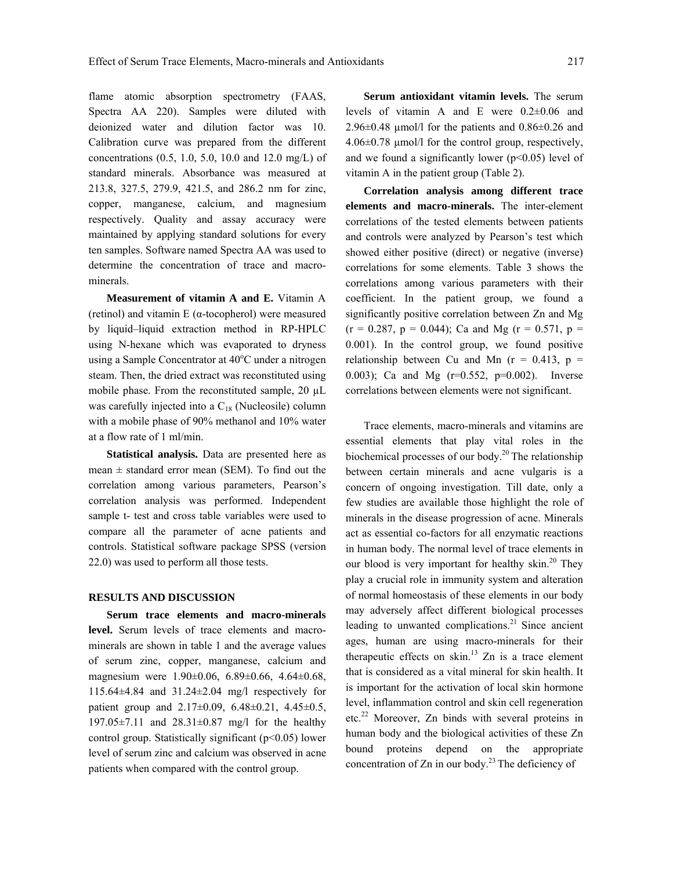flame atomic absorption spectrometry (FAAS, Spectra AA 220). Samples were diluted with deionized water and dilution factor was 10. Calibration curve was prepared from the different concentrations (0.5, 1.0, 5.0, 10.0 and 12.0 mg/L) of standard minerals. Absorbance was measured at 213.8, 327.5, 279.9, 421.5, and 286.2 nm for zinc, copper, manganese, calcium, and magnesium respectively. Quality and assay accuracy were maintained by applying standard solutions for every ten samples. Software named Spectra AA was used to determine the concentration of trace and macrominerals.

 **Measurement of vitamin A and E.** Vitamin A (retinol) and vitamin E (α-tocopherol) were measured by liquid–liquid extraction method in RP-HPLC using N-hexane which was evaporated to dryness using a Sample Concentrator at 40°C under a nitrogen steam. Then, the dried extract was reconstituted using mobile phase. From the reconstituted sample, 20 µL was carefully injected into a  $C_{18}$  (Nucleosile) column with a mobile phase of 90% methanol and 10% water at a flow rate of 1 ml/min.

 **Statistical analysis.** Data are presented here as mean  $\pm$  standard error mean (SEM). To find out the correlation among various parameters, Pearson's correlation analysis was performed. Independent sample t- test and cross table variables were used to compare all the parameter of acne patients and controls. Statistical software package SPSS (version 22.0) was used to perform all those tests.

#### **RESULTS AND DISCUSSION**

 **Serum trace elements and macro-minerals level.** Serum levels of trace elements and macrominerals are shown in table 1 and the average values of serum zinc, copper, manganese, calcium and magnesium were 1.90±0.06, 6.89±0.66, 4.64±0.68, 115.64±4.84 and 31.24±2.04 mg/l respectively for patient group and 2.17±0.09, 6.48±0.21, 4.45±0.5, 197.05±7.11 and 28.31±0.87 mg/l for the healthy control group. Statistically significant (p<0.05) lower level of serum zinc and calcium was observed in acne patients when compared with the control group.

 **Serum antioxidant vitamin levels.** The serum levels of vitamin A and E were 0.2±0.06 and  $2.96\pm0.48$  µmol/l for the patients and  $0.86\pm0.26$  and 4.06±0.78 µmol/l for the control group, respectively, and we found a significantly lower ( $p$ <0.05) level of vitamin A in the patient group (Table 2).

 **Correlation analysis among different trace elements and macro-minerals.** The inter-element correlations of the tested elements between patients and controls were analyzed by Pearson's test which showed either positive (direct) or negative (inverse) correlations for some elements. Table 3 shows the correlations among various parameters with their coefficient. In the patient group, we found a significantly positive correlation between Zn and Mg  $(r = 0.287, p = 0.044)$ ; Ca and Mg  $(r = 0.571, p = 0.044)$ 0.001). In the control group, we found positive relationship between Cu and Mn  $(r = 0.413, p =$ 0.003); Ca and Mg (r=0.552, p=0.002). Inverse correlations between elements were not significant.

 Trace elements, macro-minerals and vitamins are essential elements that play vital roles in the biochemical processes of our body.<sup>20</sup> The relationship between certain minerals and acne vulgaris is a concern of ongoing investigation. Till date, only a few studies are available those highlight the role of minerals in the disease progression of acne. Minerals act as essential co-factors for all enzymatic reactions in human body. The normal level of trace elements in our blood is very important for healthy skin.<sup>20</sup> They play a crucial role in immunity system and alteration of normal homeostasis of these elements in our body may adversely affect different biological processes leading to unwanted complications. $21$  Since ancient ages, human are using macro-minerals for their therapeutic effects on skin. $13$  Zn is a trace element that is considered as a vital mineral for skin health. It is important for the activation of local skin hormone level, inflammation control and skin cell regeneration etc.22 Moreover, Zn binds with several proteins in human body and the biological activities of these Zn bound proteins depend on the appropriate concentration of  $Zn$  in our body.<sup>23</sup> The deficiency of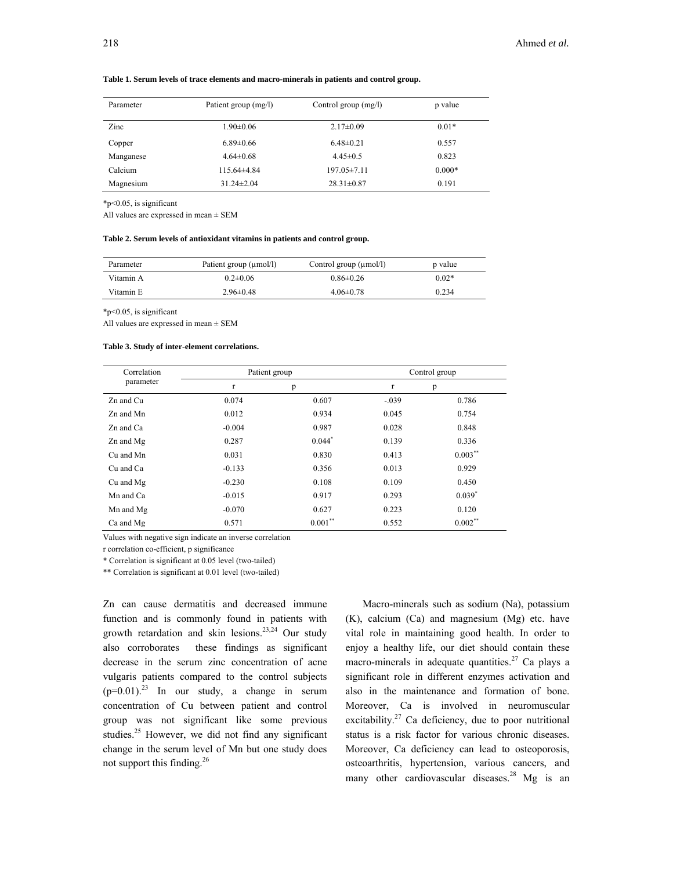| Parameter | Patient group (mg/l) | Control group $(mg/l)$ | p value  |
|-----------|----------------------|------------------------|----------|
| Zinc      | $1.90 \pm 0.06$      | $2.17 \pm 0.09$        | $0.01*$  |
| Copper    | $6.89 \pm 0.66$      | $6.48 \pm 0.21$        | 0.557    |
| Manganese | $4.64 \pm 0.68$      | $4.45 \pm 0.5$         | 0.823    |
| Calcium   | $115.64\pm4.84$      | $197.05 \pm 7.11$      | $0.000*$ |
| Magnesium | $31.24 \pm 2.04$     | $28.31 \pm 0.87$       | 0.191    |

**Table 1. Serum levels of trace elements and macro-minerals in patients and control group.** 

\*p<0.05, is significant

All values are expressed in mean ± SEM

#### **Table 2. Serum levels of antioxidant vitamins in patients and control group.**

| Parameter | Patient group (µmol/l) | Control group $(\mu \text{mol/l})$ | p value |
|-----------|------------------------|------------------------------------|---------|
| Vitamin A | $0.2 \pm 0.06$         | $0.86 \pm 0.26$                    | $0.02*$ |
| Vitamin E | $2.96\pm0.48$          | $4.06\pm0.78$                      | 0.234   |

\*p<0.05, is significant

All values are expressed in mean ± SEM

#### **Table 3. Study of inter-element correlations.**

| Correlation | Patient group |            | Control group |            |
|-------------|---------------|------------|---------------|------------|
| parameter   | r             | p          | $\mathbf{r}$  | p          |
| Zn and Cu   | 0.074         | 0.607      | $-.039$       | 0.786      |
| Zn and Mn   | 0.012         | 0.934      | 0.045         | 0.754      |
| Zn and Ca   | $-0.004$      | 0.987      | 0.028         | 0.848      |
| Zn and Mg   | 0.287         | $0.044*$   | 0.139         | 0.336      |
| Cu and Mn   | 0.031         | 0.830      | 0.413         | $0.003***$ |
| Cu and Ca   | $-0.133$      | 0.356      | 0.013         | 0.929      |
| Cu and Mg   | $-0.230$      | 0.108      | 0.109         | 0.450      |
| Mn and Ca   | $-0.015$      | 0.917      | 0.293         | $0.039*$   |
| Mn and Mg   | $-0.070$      | 0.627      | 0.223         | 0.120      |
| Ca and Mg   | 0.571         | $0.001***$ | 0.552         | $0.002$ ** |

Values with negative sign indicate an inverse correlation

r correlation co-efficient, p significance

\* Correlation is significant at 0.05 level (two-tailed)

\*\* Correlation is significant at 0.01 level (two-tailed)

Zn can cause dermatitis and decreased immune function and is commonly found in patients with growth retardation and skin lesions.23,24 Our study also corroborates these findings as significant decrease in the serum zinc concentration of acne vulgaris patients compared to the control subjects  $(p=0.01)^{23}$  In our study, a change in serum concentration of Cu between patient and control group was not significant like some previous studies.<sup>25</sup> However, we did not find any significant change in the serum level of Mn but one study does not support this finding.26

 Macro-minerals such as sodium (Na), potassium (K), calcium (Ca) and magnesium (Mg) etc. have vital role in maintaining good health. In order to enjoy a healthy life, our diet should contain these macro-minerals in adequate quantities.<sup>27</sup> Ca plays a significant role in different enzymes activation and also in the maintenance and formation of bone. Moreover, Ca is involved in neuromuscular excitability. $27$  Ca deficiency, due to poor nutritional status is a risk factor for various chronic diseases. Moreover, Ca deficiency can lead to osteoporosis, osteoarthritis, hypertension, various cancers, and many other cardiovascular diseases.<sup>28</sup> Mg is an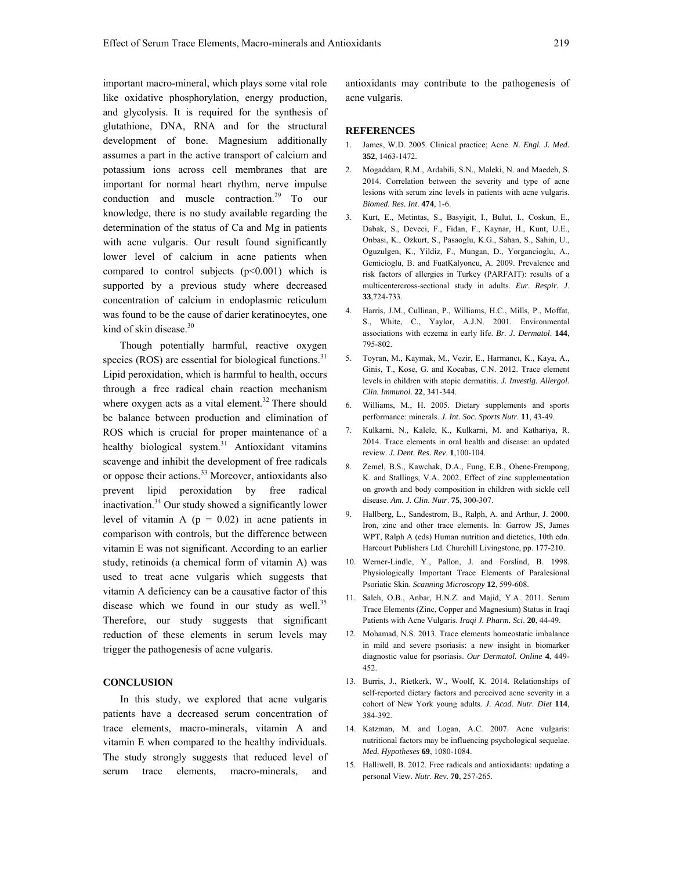important macro-mineral, which plays some vital role like oxidative phosphorylation, energy production, and glycolysis. It is required for the synthesis of glutathione, DNA, RNA and for the structural development of bone. Magnesium additionally assumes a part in the active transport of calcium and potassium ions across cell membranes that are important for normal heart rhythm, nerve impulse conduction and muscle contraction.29 To our knowledge, there is no study available regarding the determination of the status of Ca and Mg in patients with acne vulgaris. Our result found significantly lower level of calcium in acne patients when compared to control subjects  $(p<0.001)$  which is supported by a previous study where decreased concentration of calcium in endoplasmic reticulum was found to be the cause of darier keratinocytes, one kind of skin disease. $30$ 

 Though potentially harmful, reactive oxygen species (ROS) are essential for biological functions. $31$ Lipid peroxidation, which is harmful to health, occurs through a free radical chain reaction mechanism where oxygen acts as a vital element.<sup>32</sup> There should be balance between production and elimination of ROS which is crucial for proper maintenance of a healthy biological system.<sup>31</sup> Antioxidant vitamins scavenge and inhibit the development of free radicals or oppose their actions.<sup>33</sup> Moreover, antioxidants also prevent lipid peroxidation by free radical inactivation.<sup>34</sup> Our study showed a significantly lower level of vitamin A  $(p = 0.02)$  in acne patients in comparison with controls, but the difference between vitamin E was not significant. According to an earlier study, retinoids (a chemical form of vitamin A) was used to treat acne vulgaris which suggests that vitamin A deficiency can be a causative factor of this disease which we found in our study as well. $35$ Therefore, our study suggests that significant reduction of these elements in serum levels may trigger the pathogenesis of acne vulgaris.

## **CONCLUSION**

 In this study, we explored that acne vulgaris patients have a decreased serum concentration of trace elements, macro-minerals, vitamin A and vitamin E when compared to the healthy individuals. The study strongly suggests that reduced level of serum trace elements, macro-minerals, and

antioxidants may contribute to the pathogenesis of acne vulgaris.

### **REFERENCES**

- 1. James, W.D. 2005. Clinical practice; Acne. *N. Engl. J. Med.*  **352**, 1463-1472.
- 2. Mogaddam, R.M., Ardabili, S.N., Maleki, N. and Maedeh, S. 2014. Correlation between the severity and type of acne lesions with serum zinc levels in patients with acne vulgaris. *Biomed. Res. Int*. **474**, 1-6.
- 3. Kurt, E., Metintas, S., Basyigit, I., Bulut, I., Coskun, E., Dabak, S., Deveci, F., Fidan, F., Kaynar, H., Kunt, U.E., Onbasi, K., Ozkurt, S., Pasaoglu, K.G., Sahan, S., Sahin, U., Oguzulgen, K., Yildiz, F., Mungan, D., Yorgancioglu, A., Gemicioglu, B. and FuatKalyoncu, A. 2009. Prevalence and risk factors of allergies in Turkey (PARFAIT): results of a multicentercross-sectional study in adults. *Eur. Respir. J*. **33**,724-733.
- 4. Harris, J.M., Cullinan, P., Williams, H.C., Mills, P., Moffat, S., White, C., Yaylor, A.J.N. 2001. Environmental associations with eczema in early life. *Br. J. Dermatol*. **144**, 795-802.
- 5. Toyran, M., Kaymak, M., Vezir, E., Harmancı, K., Kaya, A., Ginis, T., Kose, G. and Kocabas, C.N. 2012. Trace element levels in children with atopic dermatitis. *J. Investig. Allergol. Clin. Immunol*. **22**, 341-344.
- 6. Williams, M., H. 2005. Dietary supplements and sports performance: minerals. *J. Int. Soc. Sports Nutr*. **11**, 43-49.
- 7. Kulkarni, N., Kalele, K., Kulkarni, M. and Kathariya, R. 2014. Trace elements in oral health and disease: an updated review. *J. Dent. Res. Rev*. **1**,100-104.
- Zemel, B.S., Kawchak, D.A., Fung, E.B., Ohene-Frempong, K. and Stallings, V.A. 2002. Effect of zinc supplementation on growth and body composition in children with sickle cell disease. *Am. J. Clin. Nutr*. **75**, 300-307.
- 9. Hallberg, L., Sandestrom, B., Ralph, A. and Arthur, J. 2000. Iron, zinc and other trace elements. In: Garrow JS, James WPT, Ralph A (eds) Human nutrition and dietetics, 10th edn. Harcourt Publishers Ltd. Churchill Livingstone, pp. 177-210.
- 10. Werner-Lindle, Y., Pallon, J. and Forslind, B. 1998. Physiologically Important Trace Elements of Paralesional Psoriatic Skin. *Scanning Microscopy* **12**, 599-608.
- 11. Saleh, O.B., Anbar, H.N.Z. and Majid, Y.A. 2011. Serum Trace Elements (Zinc, Copper and Magnesium) Status in Iraqi Patients with Acne Vulgaris. *Iraqi J. Pharm. Sci*. **20**, 44-49.
- 12. Mohamad, N.S. 2013. Trace elements homeostatic imbalance in mild and severe psoriasis: a new insight in biomarker diagnostic value for psoriasis. *Our Dermatol. Online* **4**, 449- 452.
- 13. Burris, J., Rietkerk, W., Woolf, K. 2014. Relationships of self-reported dietary factors and perceived acne severity in a cohort of New York young adults. *J. Acad. Nutr. Diet* **114**, 384-392.
- 14. Katzman, M. and Logan, A.C. 2007. Acne vulgaris: nutritional factors may be influencing psychological sequelae. *Med. Hypotheses* **69**, 1080-1084.
- 15. Halliwell, B. 2012. Free radicals and antioxidants: updating a personal View. *Nutr. Rev*. **70**, 257-265.